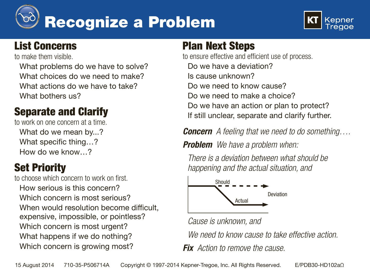



# List Concerns

to make them visible.

What problems do we have to solve? What choices do we need to make? What actions do we have to take? What bothers us?

# Separate and Clarify

to work on one concern at a time. What do we mean by...? What specific thing…? How do we know…?

# Set Priority

to choose which concern to work on first. How serious is this concern? Which concern is most serious? When would resolution become difficult, expensive, impossible, or pointless? Which concern is most urgent? What happens if we do nothing? Which concern is growing most?

# Plan Next Steps

to ensure effective and efficient use of process. Do we have a deviation? Is cause unknown? Do we need to know cause? Do we need to make a choice? Do we have an action or plan to protect? If still unclear, separate and clarify further.

*Concern A feeling that we need to do something….*

*Problem We have a problem when:*

*There is a deviation between what should be happening and the actual situation, and*



*Cause is unknown, and*

*We need to know cause to take effective action.*

*Fix Action to remove the cause.*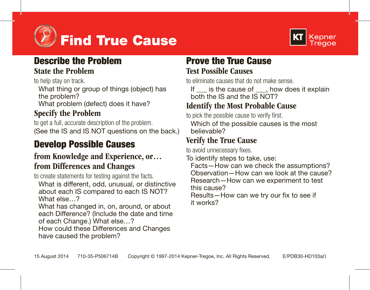



# Describe the Problem

#### State the Problem

to help stay on track.

What thing or group of things (object) has the problem?

What problem (defect) does it have?

### Specify the Problem

to get a full, accurate description of the problem. (See the IS and IS NOT questions on the back.)

# Develop Possible Causes

#### from Knowledge and Experience, or… from Differences and Changes

to create statements for testing against the facts.

What is different, odd, unusual, or distinctive about each IS compared to each IS NOT? What else 2

What has changed in, on, around, or about each Difference? (Include the date and time of each Change.) What else…?

How could these Differences and Changes have caused the problem?

## Prove the True Cause Test Possible Causes

to eliminate causes that do not make sense.

If is the cause of . how does it explain both the IS and the IS NOT?

#### Identify the Most Probable Cause

to pick the possible cause to verify first. Which of the possible causes is the most

believable?

### Verify the True Cause

to avoid unnecessary fixes.

To identify steps to take, use:

Facts—How can we check the assumptions? Observation—How can we look at the cause? Research—How can we experiment to test this cause?

Results—How can we try our fix to see if it works?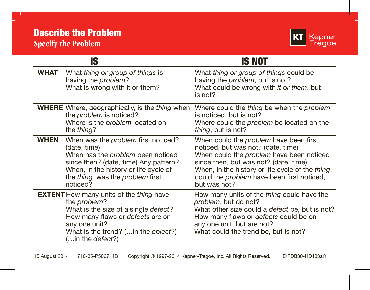

|             | IS                                                                                                                                                                                                                             | IS NOT                                                                                                                                                                                                                                                                                            |
|-------------|--------------------------------------------------------------------------------------------------------------------------------------------------------------------------------------------------------------------------------|---------------------------------------------------------------------------------------------------------------------------------------------------------------------------------------------------------------------------------------------------------------------------------------------------|
| WHAT        | What thing or group of things is<br>having the <i>problem</i> ?<br>What is wrong with it or them?                                                                                                                              | What thing or group of things could be<br>having the problem, but is not?<br>What could be wrong with it or them, but<br>is not?                                                                                                                                                                  |
|             | <b>WHERE</b> Where, geographically, is the thing when<br>the <i>problem</i> is noticed?<br>Where is the <i>problem</i> located on<br>the thing?                                                                                | Where could the thing be when the problem<br>is noticed, but is not?<br>Where could the problem be located on the<br>thing, but is not?                                                                                                                                                           |
| <b>WHEN</b> | When was the problem first noticed?<br>(date, time)<br>When has the problem been noticed<br>since then? (date, time) Any pattern?<br>When, in the history or life cycle of<br>the thing, was the problem first<br>noticed?     | When could the <i>problem</i> have been first<br>noticed, but was not? (date, time)<br>When could the <i>problem</i> have been noticed<br>since then, but was not? (date, time)<br>When, in the history or life cycle of the thing,<br>could the problem have been first noticed,<br>but was not? |
|             | <b>EXTENT</b> How many units of the thing have<br>the problem?<br>What is the size of a single defect?<br>How many flaws or defects are on<br>any one unit?<br>What is the trend? (in the object?)<br>(in the <i>defect</i> ?) | How many units of the thing could have the<br>problem, but do not?<br>What other size could a <i>defect</i> be, but is not?<br>How many flaws or <i>defects</i> could be on<br>any one unit, but are not?<br>What could the trend be, but is not?                                                 |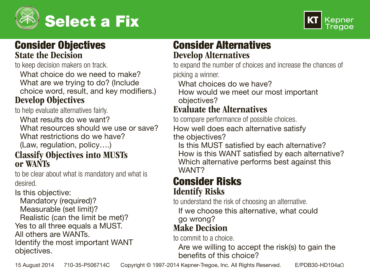



#### Consider Objectives State the Decision

to keep decision makers on track.

What choice do we need to make? What are we trying to do? (Include choice word, result, and key modifiers.)

#### Develop Objectives

to help evaluate alternatives fairly.

What results do we want?

What resources should we use or save? What restrictions do we have?

(Law, regulation, policy….)

#### Classify Objectives into MUSTs or WANTs

to be clear about what is mandatory and what is desired.

Is this objective:

Mandatory (required)?

Measurable (set limit)?

Realistic (can the limit be met)?

Yes to all three equals a MUST.

All others are WANTs.

Identify the most important WANT objectives.

### Consider Alternatives Develop Alternatives

to expand the number of choices and increase the chances of picking a winner.

What choices do we have?

How would we meet our most important objectives?

#### Evaluate the Alternatives

to compare performance of possible choices.

How well does each alternative satisfy the objectives?

Is this MUST satisfied by each alternative? How is this WANT satisfied by each alternative? Which alternative performs best against this WANT?

#### Consider Risks Identify Risks

to understand the risk of choosing an alternative.

If we choose this alternative, what could go wrong?

# Make Decision

to commit to a choice.

Are we willing to accept the risk(s) to gain the benefits of this choice?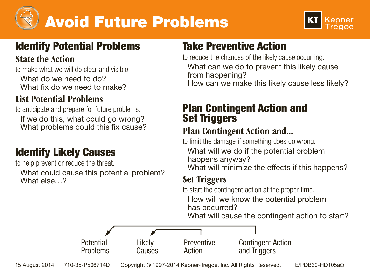



# Identify Potential Problems

#### State the Action

to make what we will do clear and visible.

What do we need to do? What fix do we need to make?

### List Potential Problems

to anticipate and prepare for future problems. If we do this, what could go wrong? What problems could this fix cause?

# Identify Likely Causes

to help prevent or reduce the threat. What could cause this potential problem? What else 2

# Take Preventive Action

to reduce the chances of the likely cause occurring. What can we do to prevent this likely cause from happening? How can we make this likely cause less likely?

### Plan Contingent Action and **Set Triggers**

#### Plan Contingent Action and...

to limit the damage if something does go wrong. What will we do if the potential problem happens anyway? What will minimize the effects if this happens?

## Set Triggers

to start the contingent action at the proper time. How will we know the potential problem has occurred?

What will cause the contingent action to start?